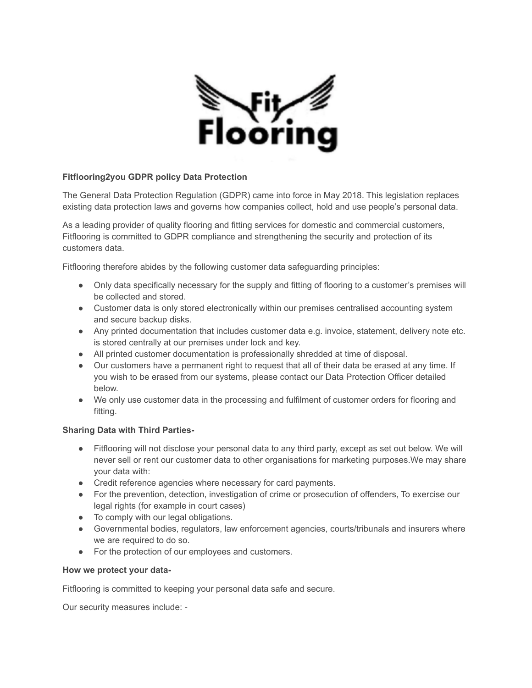

## **Fitflooring2you GDPR policy Data Protection**

The General Data Protection Regulation (GDPR) came into force in May 2018. This legislation replaces existing data protection laws and governs how companies collect, hold and use people's personal data.

As a leading provider of quality flooring and fitting services for domestic and commercial customers, Fitflooring is committed to GDPR compliance and strengthening the security and protection of its customers data.

Fitflooring therefore abides by the following customer data safeguarding principles:

- Only data specifically necessary for the supply and fitting of flooring to a customer's premises will be collected and stored.
- Customer data is only stored electronically within our premises centralised accounting system and secure backup disks.
- Any printed documentation that includes customer data e.g. invoice, statement, delivery note etc. is stored centrally at our premises under lock and key.
- All printed customer documentation is professionally shredded at time of disposal.
- Our customers have a permanent right to request that all of their data be erased at any time. If you wish to be erased from our systems, please contact our Data Protection Officer detailed below.
- We only use customer data in the processing and fulfilment of customer orders for flooring and fitting.

## **Sharing Data with Third Parties-**

- Fitflooring will not disclose your personal data to any third party, except as set out below. We will never sell or rent our customer data to other organisations for marketing purposes.We may share your data with:
- Credit reference agencies where necessary for card payments.
- For the prevention, detection, investigation of crime or prosecution of offenders, To exercise our legal rights (for example in court cases)
- To comply with our legal obligations.
- Governmental bodies, regulators, law enforcement agencies, courts/tribunals and insurers where we are required to do so.
- For the protection of our employees and customers.

## **How we protect your data-**

Fitflooring is committed to keeping your personal data safe and secure.

Our security measures include: -